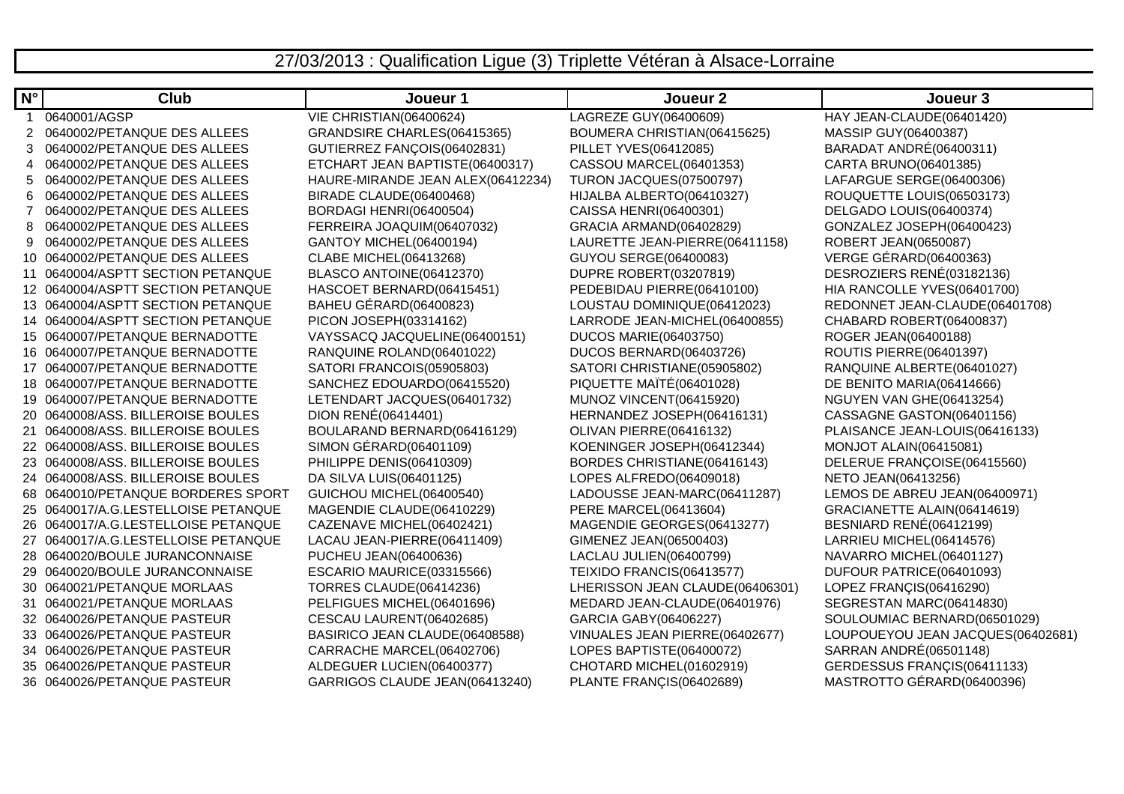## 27/03/2013 : Qualification Ligue (3) Triplette Vétéran à Alsace-Lorraine

| $N^{\circ}$ | <b>Club</b>                         | Joueur 1                          | Joueur 2                        | Joueur 3                          |
|-------------|-------------------------------------|-----------------------------------|---------------------------------|-----------------------------------|
|             | 0640001/AGSP                        | VIE CHRISTIAN(06400624)           | LAGREZE GUY(06400609)           | HAY JEAN-CLAUDE(06401420)         |
| 2           | 0640002/PETANQUE DES ALLEES         | GRANDSIRE CHARLES(06415365)       | BOUMERA CHRISTIAN(06415625)     | MASSIP GUY(06400387)              |
| 3           | 0640002/PETANQUE DES ALLEES         | GUTIERREZ FANÇOIS(06402831)       | PILLET YVES(06412085)           | BARADAT ANDRÉ(06400311)           |
| 4           | 0640002/PETANQUE DES ALLEES         | ETCHART JEAN BAPTISTE(06400317)   | CASSOU MARCEL(06401353)         | CARTA BRUNO(06401385)             |
| 5           | 0640002/PETANQUE DES ALLEES         | HAURE-MIRANDE JEAN ALEX(06412234) | <b>TURON JACQUES(07500797)</b>  | LAFARGUE SERGE(06400306)          |
| 6           | 0640002/PETANQUE DES ALLEES         | BIRADE CLAUDE(06400468)           | HIJALBA ALBERTO(06410327)       | ROUQUETTE LOUIS(06503173)         |
|             | 0640002/PETANQUE DES ALLEES         | <b>BORDAGI HENRI(06400504)</b>    | CAISSA HENRI(06400301)          | DELGADO LOUIS(06400374)           |
| 8           | 0640002/PETANQUE DES ALLEES         | FERREIRA JOAQUIM(06407032)        | GRACIA ARMAND(06402829)         | GONZALEZ JOSEPH(06400423)         |
| 9           | 0640002/PETANQUE DES ALLEES         | GANTOY MICHEL(06400194)           | LAURETTE JEAN-PIERRE(06411158)  | ROBERT JEAN(0650087)              |
|             | 10 0640002/PETANQUE DES ALLEES      | <b>CLABE MICHEL(06413268)</b>     | GUYOU SERGE(06400083)           | <b>VERGE GÉRARD(06400363)</b>     |
|             | 11 0640004/ASPTT SECTION PETANQUE   | BLASCO ANTOINE(06412370)          | <b>DUPRE ROBERT(03207819)</b>   | DESROZIERS RENÉ(03182136)         |
|             | 12 0640004/ASPTT SECTION PETANQUE   | HASCOET BERNARD(06415451)         | PEDEBIDAU PIERRE(06410100)      | HIA RANCOLLE YVES(06401700)       |
|             | 13 0640004/ASPTT SECTION PETANQUE   | BAHEU GÉRARD(06400823)            | LOUSTAU DOMINIQUE(06412023)     | REDONNET JEAN-CLAUDE(06401708)    |
|             | 14 0640004/ASPTT SECTION PETANQUE   | PICON JOSEPH(03314162)            | LARRODE JEAN-MICHEL(06400855)   | CHABARD ROBERT(06400837)          |
|             | 15 0640007/PETANQUE BERNADOTTE      | VAYSSACQ JACQUELINE(06400151)     | <b>DUCOS MARIE(06403750)</b>    | ROGER JEAN(06400188)              |
|             | 16 0640007/PETANQUE BERNADOTTE      | RANQUINE ROLAND(06401022)         | DUCOS BERNARD(06403726)         | ROUTIS PIERRE(06401397)           |
|             | 17 0640007/PETANQUE BERNADOTTE      | SATORI FRANCOIS(05905803)         | SATORI CHRISTIANE(05905802)     | RANQUINE ALBERTE(06401027)        |
|             | 18 0640007/PETANQUE BERNADOTTE      | SANCHEZ EDOUARDO(06415520)        | PIQUETTE MAÏTÉ(06401028)        | DE BENITO MARIA(06414666)         |
|             | 19 0640007/PETANQUE BERNADOTTE      | LETENDART JACQUES(06401732)       | MUNOZ VINCENT(06415920)         | NGUYEN VAN GHE(06413254)          |
|             | 20 0640008/ASS. BILLEROISE BOULES   | DION RENÉ(06414401)               | HERNANDEZ JOSEPH(06416131)      | CASSAGNE GASTON(06401156)         |
|             | 21 0640008/ASS. BILLEROISE BOULES   | BOULARAND BERNARD(06416129)       | OLIVAN PIERRE(06416132)         | PLAISANCE JEAN-LOUIS(06416133)    |
|             | 22 0640008/ASS. BILLEROISE BOULES   | SIMON GÉRARD(06401109)            | KOENINGER JOSEPH(06412344)      | <b>MONJOT ALAIN(06415081)</b>     |
|             | 23 0640008/ASS. BILLEROISE BOULES   | PHILIPPE DENIS(06410309)          | BORDES CHRISTIANE(06416143)     | DELERUE FRANÇOISE(06415560)       |
|             | 24 0640008/ASS. BILLEROISE BOULES   | DA SILVA LUIS(06401125)           | LOPES ALFREDO(06409018)         | NETO JEAN(06413256)               |
|             | 68 0640010/PETANQUE BORDERES SPORT  | GUICHOU MICHEL(06400540)          | LADOUSSE JEAN-MARC(06411287)    | LEMOS DE ABREU JEAN(06400971)     |
|             | 25 0640017/A.G.LESTELLOISE PETANQUE | MAGENDIE CLAUDE(06410229)         | PERE MARCEL(06413604)           | GRACIANETTE ALAIN(06414619)       |
|             | 26 0640017/A.G.LESTELLOISE PETANQUE | CAZENAVE MICHEL(06402421)         | MAGENDIE GEORGES(06413277)      | BESNIARD RENÉ(06412199)           |
|             | 27 0640017/A.G.LESTELLOISE PETANQUE | LACAU JEAN-PIERRE(06411409)       | GIMENEZ JEAN(06500403)          | LARRIEU MICHEL(06414576)          |
|             | 28 0640020/BOULE JURANCONNAISE      | PUCHEU JEAN(06400636)             | LACLAU JULIEN(06400799)         | NAVARRO MICHEL(06401127)          |
|             | 29 0640020/BOULE JURANCONNAISE      | ESCARIO MAURICE(03315566)         | TEIXIDO FRANCIS(06413577)       | DUFOUR PATRICE(06401093)          |
|             | 30 0640021/PETANQUE MORLAAS         | TORRES CLAUDE(06414236)           | LHERISSON JEAN CLAUDE(06406301) | LOPEZ FRANÇIS(06416290)           |
|             | 31 0640021/PETANQUE MORLAAS         | PELFIGUES MICHEL(06401696)        | MEDARD JEAN-CLAUDE(06401976)    | SEGRESTAN MARC(06414830)          |
|             | 32 0640026/PETANQUE PASTEUR         | CESCAU LAURENT(06402685)          | GARCIA GABY(06406227)           | SOULOUMIAC BERNARD(06501029)      |
|             | 33 0640026/PETANQUE PASTEUR         | BASIRICO JEAN CLAUDE(06408588)    | VINUALES JEAN PIERRE(06402677)  | LOUPOUEYOU JEAN JACQUES(06402681) |
|             | 34 0640026/PETANQUE PASTEUR         | CARRACHE MARCEL(06402706)         | LOPES BAPTISTE(06400072)        | SARRAN ANDRÉ(06501148)            |
|             | 35 0640026/PETANQUE PASTEUR         | ALDEGUER LUCIEN(06400377)         | CHOTARD MICHEL(01602919)        | GERDESSUS FRANÇIS(06411133)       |
|             | 36 0640026/PETANQUE PASTEUR         | GARRIGOS CLAUDE JEAN(06413240)    | PLANTE FRANCIS(06402689)        | MASTROTTO GÉRARD(06400396)        |